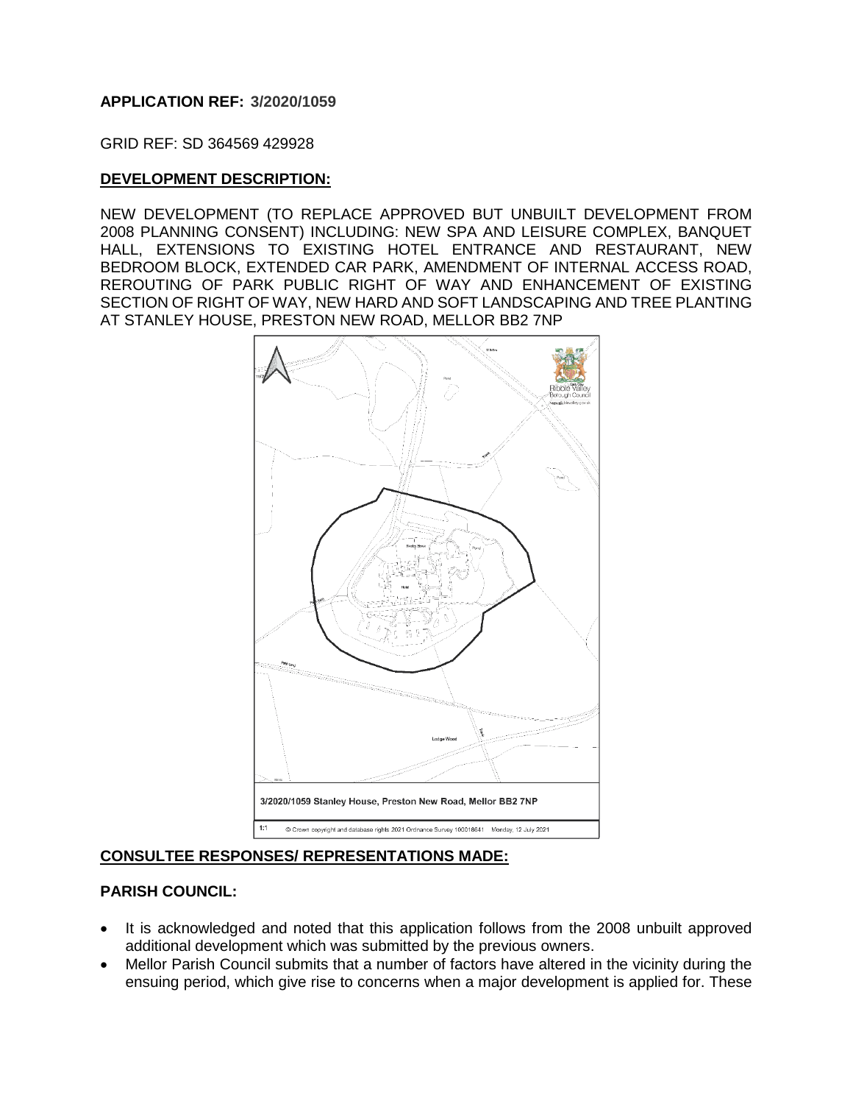## **APPLICATION REF: 3/2020/1059**

GRID REF: SD 364569 429928

## **DEVELOPMENT DESCRIPTION:**

NEW DEVELOPMENT (TO REPLACE APPROVED BUT UNBUILT DEVELOPMENT FROM 2008 PLANNING CONSENT) INCLUDING: NEW SPA AND LEISURE COMPLEX, BANQUET HALL, EXTENSIONS TO EXISTING HOTEL ENTRANCE AND RESTAURANT, NEW BEDROOM BLOCK, EXTENDED CAR PARK, AMENDMENT OF INTERNAL ACCESS ROAD, REROUTING OF PARK PUBLIC RIGHT OF WAY AND ENHANCEMENT OF EXISTING SECTION OF RIGHT OF WAY, NEW HARD AND SOFT LANDSCAPING AND TREE PLANTING AT STANLEY HOUSE, PRESTON NEW ROAD, MELLOR BB2 7NP



# **CONSULTEE RESPONSES/ REPRESENTATIONS MADE:**

#### **PARISH COUNCIL:**

- It is acknowledged and noted that this application follows from the 2008 unbuilt approved additional development which was submitted by the previous owners.
- Mellor Parish Council submits that a number of factors have altered in the vicinity during the ensuing period, which give rise to concerns when a major development is applied for. These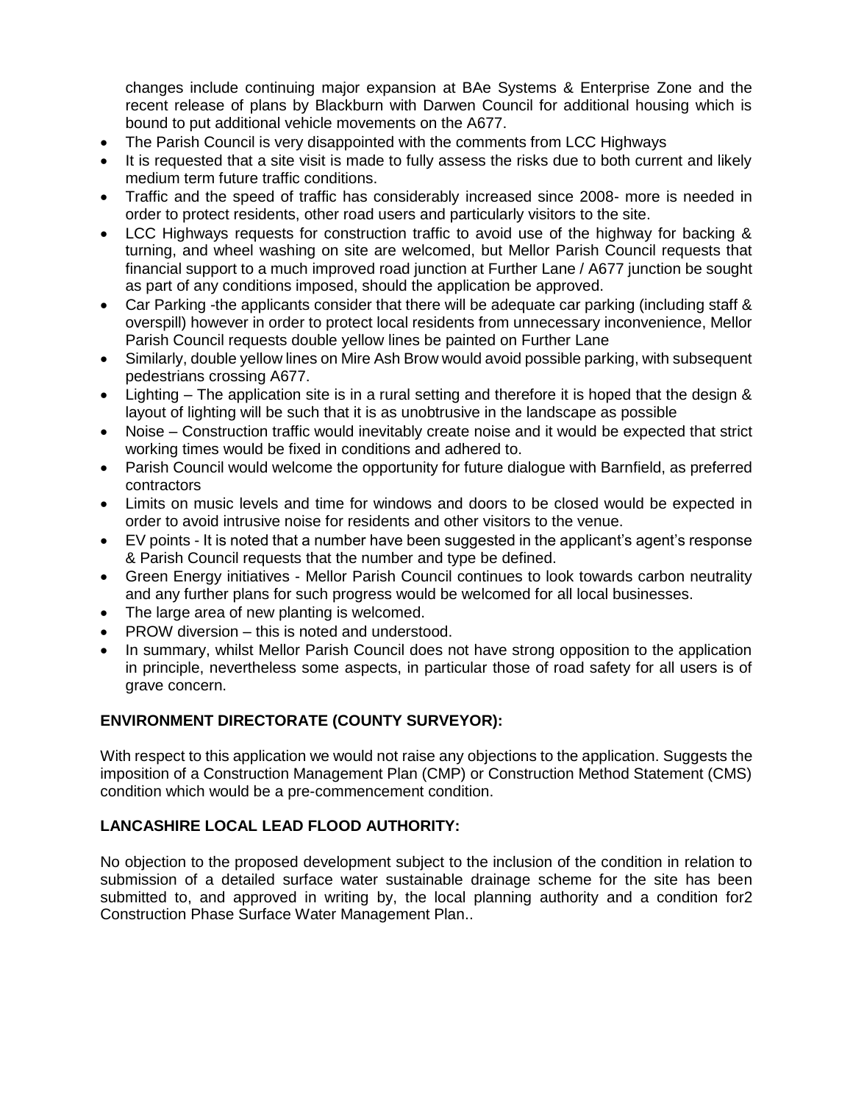changes include continuing major expansion at BAe Systems & Enterprise Zone and the recent release of plans by Blackburn with Darwen Council for additional housing which is bound to put additional vehicle movements on the A677.

- The Parish Council is very disappointed with the comments from LCC Highways
- It is requested that a site visit is made to fully assess the risks due to both current and likely medium term future traffic conditions.
- Traffic and the speed of traffic has considerably increased since 2008- more is needed in order to protect residents, other road users and particularly visitors to the site.
- LCC Highways requests for construction traffic to avoid use of the highway for backing & turning, and wheel washing on site are welcomed, but Mellor Parish Council requests that financial support to a much improved road junction at Further Lane / A677 junction be sought as part of any conditions imposed, should the application be approved.
- Car Parking -the applicants consider that there will be adequate car parking (including staff & overspill) however in order to protect local residents from unnecessary inconvenience, Mellor Parish Council requests double yellow lines be painted on Further Lane
- Similarly, double yellow lines on Mire Ash Brow would avoid possible parking, with subsequent pedestrians crossing A677.
- Lighting The application site is in a rural setting and therefore it is hoped that the design & layout of lighting will be such that it is as unobtrusive in the landscape as possible
- Noise Construction traffic would inevitably create noise and it would be expected that strict working times would be fixed in conditions and adhered to.
- Parish Council would welcome the opportunity for future dialogue with Barnfield, as preferred contractors
- Limits on music levels and time for windows and doors to be closed would be expected in order to avoid intrusive noise for residents and other visitors to the venue.
- EV points It is noted that a number have been suggested in the applicant's agent's response & Parish Council requests that the number and type be defined.
- Green Energy initiatives Mellor Parish Council continues to look towards carbon neutrality and any further plans for such progress would be welcomed for all local businesses.
- The large area of new planting is welcomed.
- PROW diversion this is noted and understood.
- In summary, whilst Mellor Parish Council does not have strong opposition to the application in principle, nevertheless some aspects, in particular those of road safety for all users is of grave concern.

# **ENVIRONMENT DIRECTORATE (COUNTY SURVEYOR):**

With respect to this application we would not raise any objections to the application. Suggests the imposition of a Construction Management Plan (CMP) or Construction Method Statement (CMS) condition which would be a pre-commencement condition.

# **LANCASHIRE LOCAL LEAD FLOOD AUTHORITY:**

No objection to the proposed development subject to the inclusion of the condition in relation to submission of a detailed surface water sustainable drainage scheme for the site has been submitted to, and approved in writing by, the local planning authority and a condition for2 Construction Phase Surface Water Management Plan..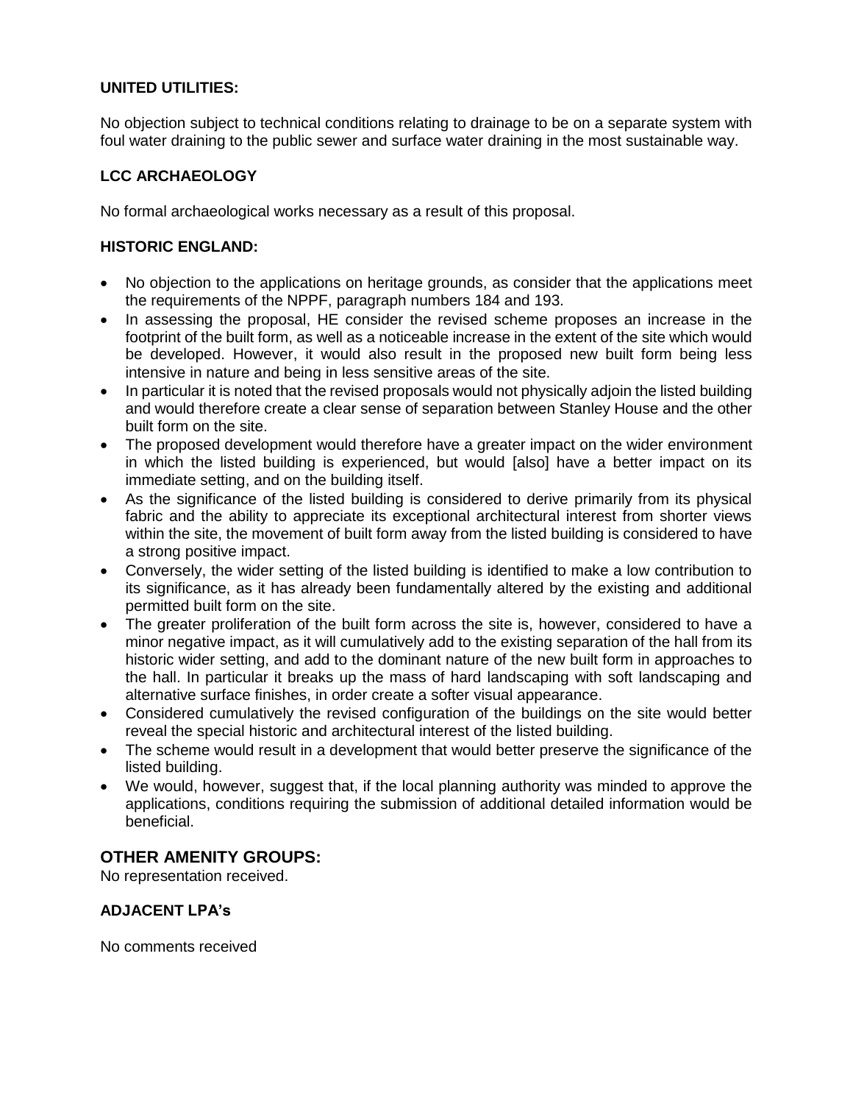# **UNITED UTILITIES:**

No objection subject to technical conditions relating to drainage to be on a separate system with foul water draining to the public sewer and surface water draining in the most sustainable way.

# **LCC ARCHAEOLOGY**

No formal archaeological works necessary as a result of this proposal.

# **HISTORIC ENGLAND:**

- No objection to the applications on heritage grounds, as consider that the applications meet the requirements of the NPPF, paragraph numbers 184 and 193.
- In assessing the proposal, HE consider the revised scheme proposes an increase in the footprint of the built form, as well as a noticeable increase in the extent of the site which would be developed. However, it would also result in the proposed new built form being less intensive in nature and being in less sensitive areas of the site.
- In particular it is noted that the revised proposals would not physically adjoin the listed building and would therefore create a clear sense of separation between Stanley House and the other built form on the site.
- The proposed development would therefore have a greater impact on the wider environment in which the listed building is experienced, but would [also] have a better impact on its immediate setting, and on the building itself.
- As the significance of the listed building is considered to derive primarily from its physical fabric and the ability to appreciate its exceptional architectural interest from shorter views within the site, the movement of built form away from the listed building is considered to have a strong positive impact.
- Conversely, the wider setting of the listed building is identified to make a low contribution to its significance, as it has already been fundamentally altered by the existing and additional permitted built form on the site.
- The greater proliferation of the built form across the site is, however, considered to have a minor negative impact, as it will cumulatively add to the existing separation of the hall from its historic wider setting, and add to the dominant nature of the new built form in approaches to the hall. In particular it breaks up the mass of hard landscaping with soft landscaping and alternative surface finishes, in order create a softer visual appearance.
- Considered cumulatively the revised configuration of the buildings on the site would better reveal the special historic and architectural interest of the listed building.
- The scheme would result in a development that would better preserve the significance of the listed building.
- We would, however, suggest that, if the local planning authority was minded to approve the applications, conditions requiring the submission of additional detailed information would be beneficial.

# **OTHER AMENITY GROUPS:**

No representation received.

# **ADJACENT LPA's**

No comments received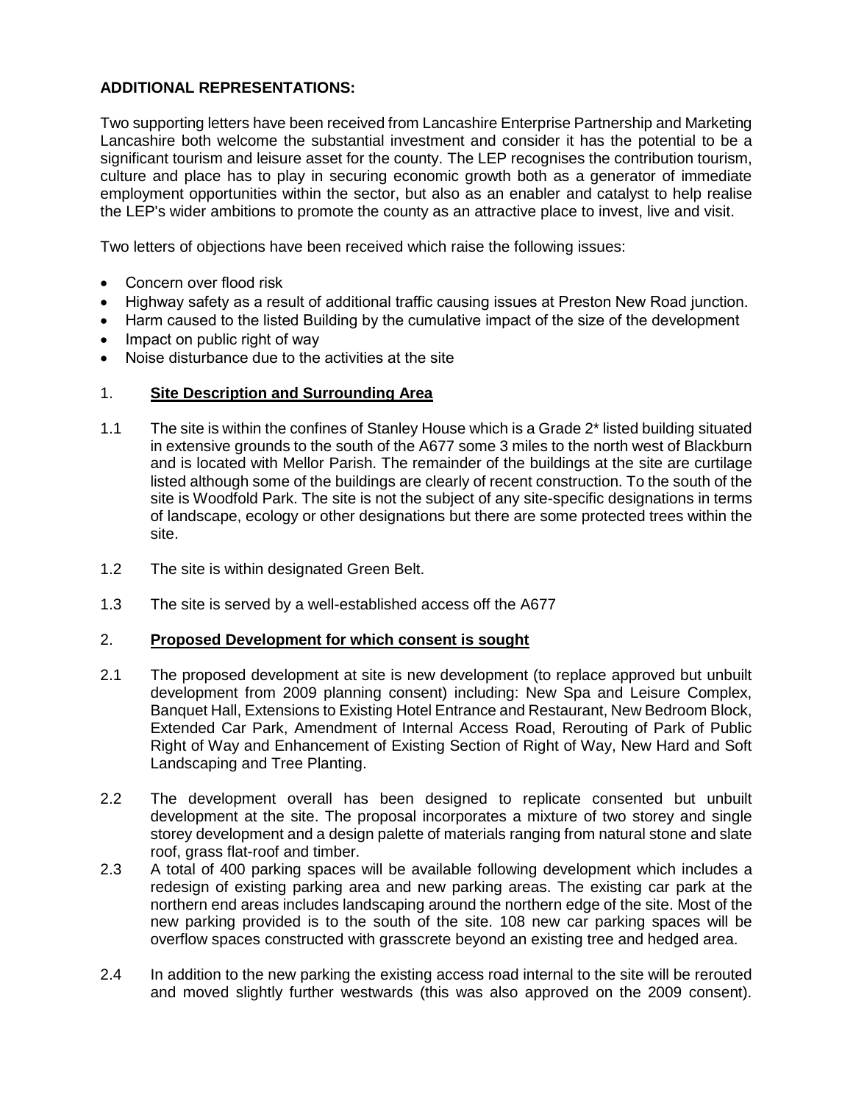# **ADDITIONAL REPRESENTATIONS:**

Two supporting letters have been received from Lancashire Enterprise Partnership and Marketing Lancashire both welcome the substantial investment and consider it has the potential to be a significant tourism and leisure asset for the county. The LEP recognises the contribution tourism, culture and place has to play in securing economic growth both as a generator of immediate employment opportunities within the sector, but also as an enabler and catalyst to help realise the LEP's wider ambitions to promote the county as an attractive place to invest, live and visit.

Two letters of objections have been received which raise the following issues:

- Concern over flood risk
- Highway safety as a result of additional traffic causing issues at Preston New Road junction.
- Harm caused to the listed Building by the cumulative impact of the size of the development
- Impact on public right of way
- Noise disturbance due to the activities at the site

## 1. **Site Description and Surrounding Area**

- 1.1 The site is within the confines of Stanley House which is a Grade 2\* listed building situated in extensive grounds to the south of the A677 some 3 miles to the north west of Blackburn and is located with Mellor Parish. The remainder of the buildings at the site are curtilage listed although some of the buildings are clearly of recent construction. To the south of the site is Woodfold Park. The site is not the subject of any site-specific designations in terms of landscape, ecology or other designations but there are some protected trees within the site.
- 1.2 The site is within designated Green Belt.
- 1.3 The site is served by a well-established access off the A677

#### 2. **Proposed Development for which consent is sought**

- 2.1 The proposed development at site is new development (to replace approved but unbuilt development from 2009 planning consent) including: New Spa and Leisure Complex, Banquet Hall, Extensions to Existing Hotel Entrance and Restaurant, New Bedroom Block, Extended Car Park, Amendment of Internal Access Road, Rerouting of Park of Public Right of Way and Enhancement of Existing Section of Right of Way, New Hard and Soft Landscaping and Tree Planting.
- 2.2 The development overall has been designed to replicate consented but unbuilt development at the site. The proposal incorporates a mixture of two storey and single storey development and a design palette of materials ranging from natural stone and slate roof, grass flat-roof and timber.
- 2.3 A total of 400 parking spaces will be available following development which includes a redesign of existing parking area and new parking areas. The existing car park at the northern end areas includes landscaping around the northern edge of the site. Most of the new parking provided is to the south of the site. 108 new car parking spaces will be overflow spaces constructed with grasscrete beyond an existing tree and hedged area.
- 2.4 In addition to the new parking the existing access road internal to the site will be rerouted and moved slightly further westwards (this was also approved on the 2009 consent).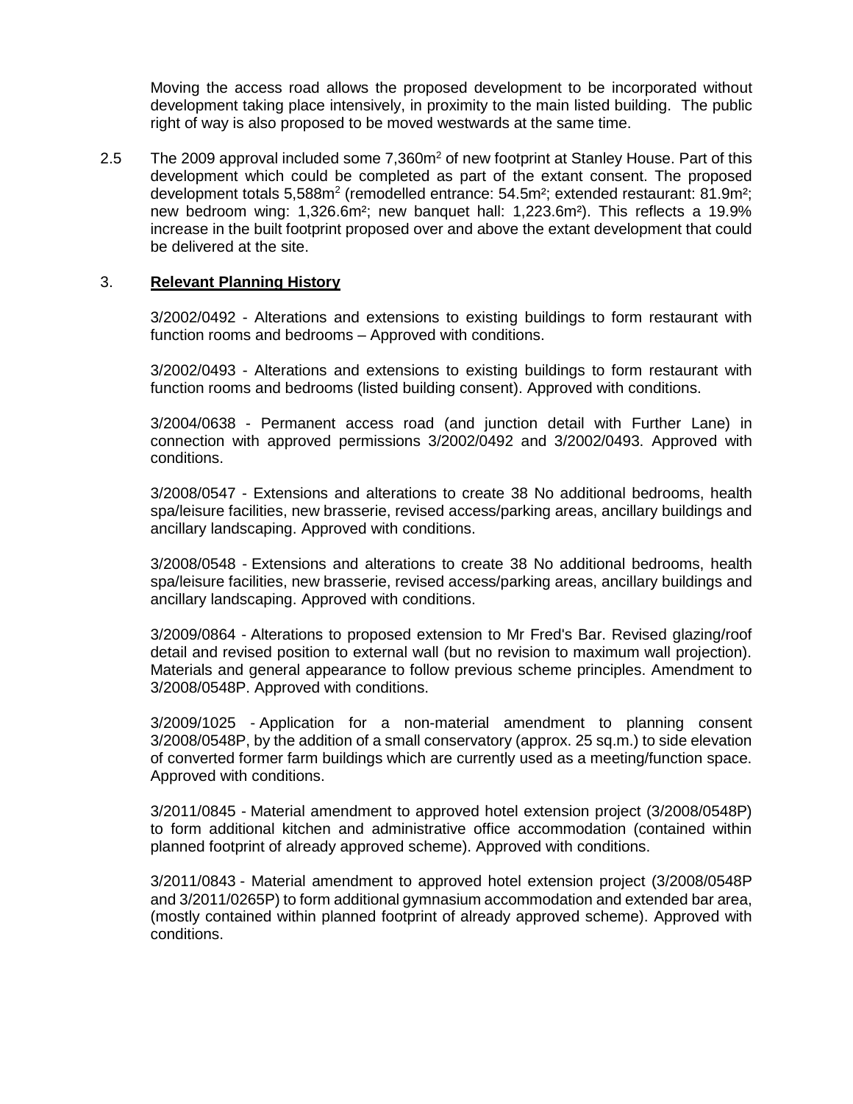Moving the access road allows the proposed development to be incorporated without development taking place intensively, in proximity to the main listed building. The public right of way is also proposed to be moved westwards at the same time.

2.5 The 2009 approval included some 7,360m<sup>2</sup> of new footprint at Stanley House. Part of this development which could be completed as part of the extant consent. The proposed development totals 5,588m<sup>2</sup> (remodelled entrance: 54.5m<sup>2</sup>; extended restaurant: 81.9m<sup>2</sup>; new bedroom wing: 1,326.6m²; new banquet hall: 1,223.6m²). This reflects a 19.9% increase in the built footprint proposed over and above the extant development that could be delivered at the site.

#### 3. **Relevant Planning History**

3/2002/0492 - Alterations and extensions to existing buildings to form restaurant with function rooms and bedrooms – Approved with conditions.

3/2002/0493 - Alterations and extensions to existing buildings to form restaurant with function rooms and bedrooms (listed building consent). Approved with conditions.

3/2004/0638 - Permanent access road (and junction detail with Further Lane) in connection with approved permissions 3/2002/0492 and 3/2002/0493. Approved with conditions.

3/2008/0547 - Extensions and alterations to create 38 No additional bedrooms, health spa/leisure facilities, new brasserie, revised access/parking areas, ancillary buildings and ancillary landscaping. Approved with conditions.

3/2008/0548 - Extensions and alterations to create 38 No additional bedrooms, health spa/leisure facilities, new brasserie, revised access/parking areas, ancillary buildings and ancillary landscaping. Approved with conditions.

3/2009/0864 - Alterations to proposed extension to Mr Fred's Bar. Revised glazing/roof detail and revised position to external wall (but no revision to maximum wall projection). Materials and general appearance to follow previous scheme principles. Amendment to 3/2008/0548P. Approved with conditions.

3/2009/1025 - Application for a non-material amendment to planning consent 3/2008/0548P, by the addition of a small conservatory (approx. 25 sq.m.) to side elevation of converted former farm buildings which are currently used as a meeting/function space. Approved with conditions.

3/2011/0845 - Material amendment to approved hotel extension project (3/2008/0548P) to form additional kitchen and administrative office accommodation (contained within planned footprint of already approved scheme). Approved with conditions.

3/2011/0843 - Material amendment to approved hotel extension project (3/2008/0548P and 3/2011/0265P) to form additional gymnasium accommodation and extended bar area, (mostly contained within planned footprint of already approved scheme). Approved with conditions.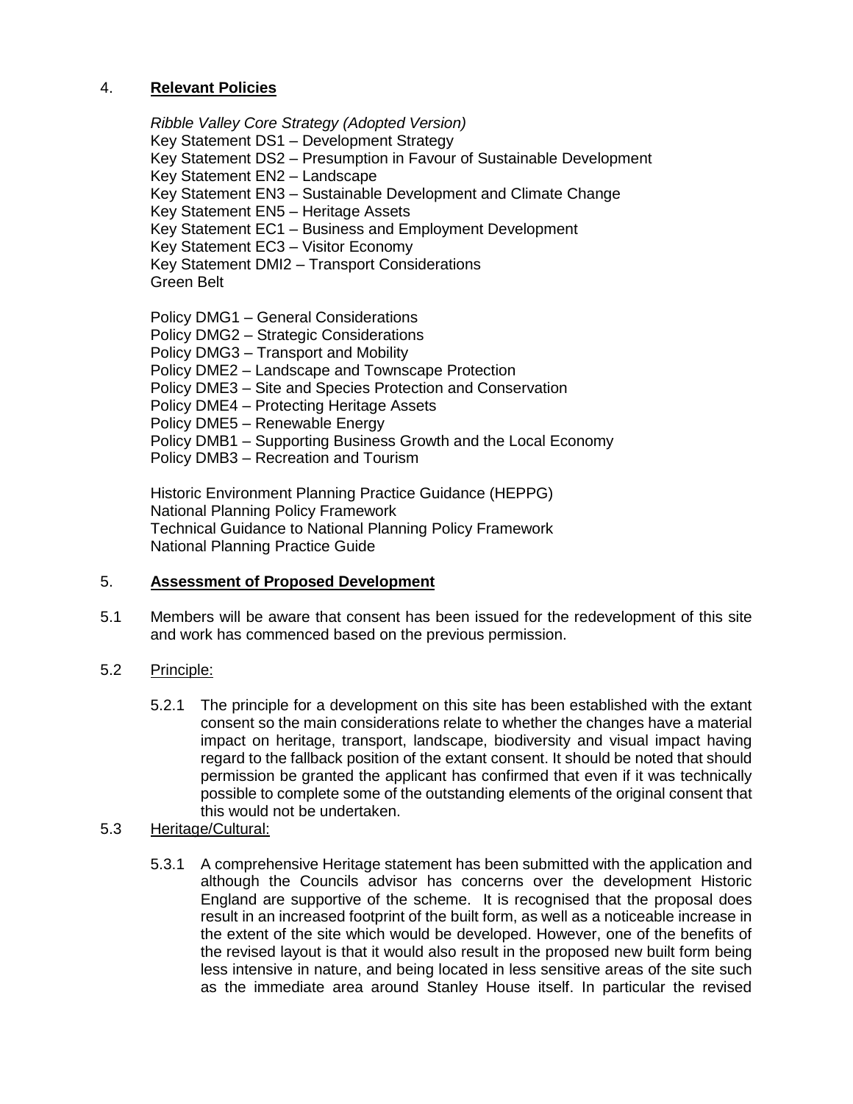## 4. **Relevant Policies**

*Ribble Valley Core Strategy (Adopted Version)* Key Statement DS1 – Development Strategy Key Statement DS2 – Presumption in Favour of Sustainable Development Key Statement EN2 – Landscape Key Statement EN3 – Sustainable Development and Climate Change Key Statement EN5 – Heritage Assets Key Statement EC1 – Business and Employment Development Key Statement EC3 – Visitor Economy Key Statement DMI2 – Transport Considerations Green Belt

Policy DMG1 – General Considerations

Policy DMG2 – Strategic Considerations

Policy DMG3 – Transport and Mobility

Policy DME2 – Landscape and Townscape Protection

Policy DME3 – Site and Species Protection and Conservation

Policy DME4 – Protecting Heritage Assets

Policy DME5 – Renewable Energy

Policy DMB1 – Supporting Business Growth and the Local Economy

Policy DMB3 – Recreation and Tourism

Historic Environment Planning Practice Guidance (HEPPG) National Planning Policy Framework Technical Guidance to National Planning Policy Framework National Planning Practice Guide

# 5. **Assessment of Proposed Development**

5.1 Members will be aware that consent has been issued for the redevelopment of this site and work has commenced based on the previous permission.

# 5.2 Principle:

- 5.2.1 The principle for a development on this site has been established with the extant consent so the main considerations relate to whether the changes have a material impact on heritage, transport, landscape, biodiversity and visual impact having regard to the fallback position of the extant consent. It should be noted that should permission be granted the applicant has confirmed that even if it was technically possible to complete some of the outstanding elements of the original consent that this would not be undertaken.
- 5.3 Heritage/Cultural:
	- 5.3.1 A comprehensive Heritage statement has been submitted with the application and although the Councils advisor has concerns over the development Historic England are supportive of the scheme. It is recognised that the proposal does result in an increased footprint of the built form, as well as a noticeable increase in the extent of the site which would be developed. However, one of the benefits of the revised layout is that it would also result in the proposed new built form being less intensive in nature, and being located in less sensitive areas of the site such as the immediate area around Stanley House itself. In particular the revised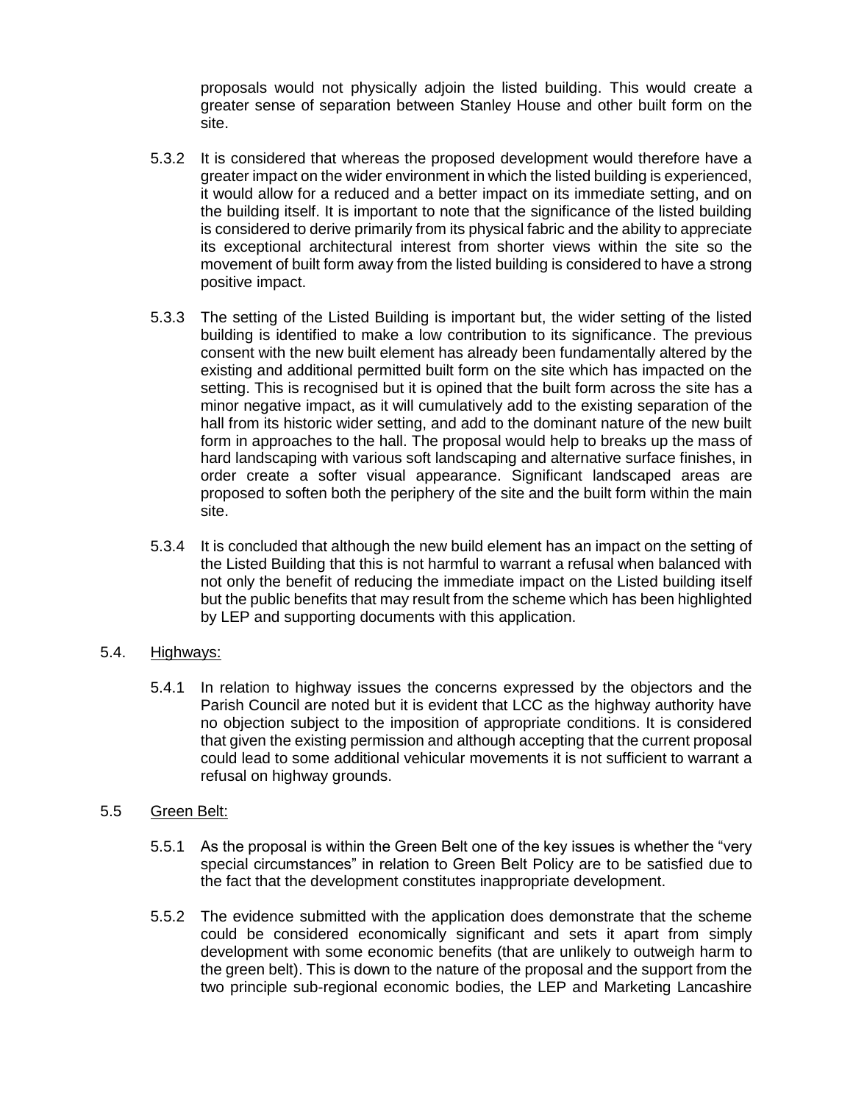proposals would not physically adjoin the listed building. This would create a greater sense of separation between Stanley House and other built form on the site.

- 5.3.2 It is considered that whereas the proposed development would therefore have a greater impact on the wider environment in which the listed building is experienced, it would allow for a reduced and a better impact on its immediate setting, and on the building itself. It is important to note that the significance of the listed building is considered to derive primarily from its physical fabric and the ability to appreciate its exceptional architectural interest from shorter views within the site so the movement of built form away from the listed building is considered to have a strong positive impact.
- 5.3.3 The setting of the Listed Building is important but, the wider setting of the listed building is identified to make a low contribution to its significance. The previous consent with the new built element has already been fundamentally altered by the existing and additional permitted built form on the site which has impacted on the setting. This is recognised but it is opined that the built form across the site has a minor negative impact, as it will cumulatively add to the existing separation of the hall from its historic wider setting, and add to the dominant nature of the new built form in approaches to the hall. The proposal would help to breaks up the mass of hard landscaping with various soft landscaping and alternative surface finishes, in order create a softer visual appearance. Significant landscaped areas are proposed to soften both the periphery of the site and the built form within the main site.
- 5.3.4 It is concluded that although the new build element has an impact on the setting of the Listed Building that this is not harmful to warrant a refusal when balanced with not only the benefit of reducing the immediate impact on the Listed building itself but the public benefits that may result from the scheme which has been highlighted by LEP and supporting documents with this application.

#### 5.4. Highways:

5.4.1 In relation to highway issues the concerns expressed by the objectors and the Parish Council are noted but it is evident that LCC as the highway authority have no objection subject to the imposition of appropriate conditions. It is considered that given the existing permission and although accepting that the current proposal could lead to some additional vehicular movements it is not sufficient to warrant a refusal on highway grounds.

#### 5.5 Green Belt:

- 5.5.1 As the proposal is within the Green Belt one of the key issues is whether the "very special circumstances" in relation to Green Belt Policy are to be satisfied due to the fact that the development constitutes inappropriate development.
- 5.5.2 The evidence submitted with the application does demonstrate that the scheme could be considered economically significant and sets it apart from simply development with some economic benefits (that are unlikely to outweigh harm to the green belt). This is down to the nature of the proposal and the support from the two principle sub-regional economic bodies, the LEP and Marketing Lancashire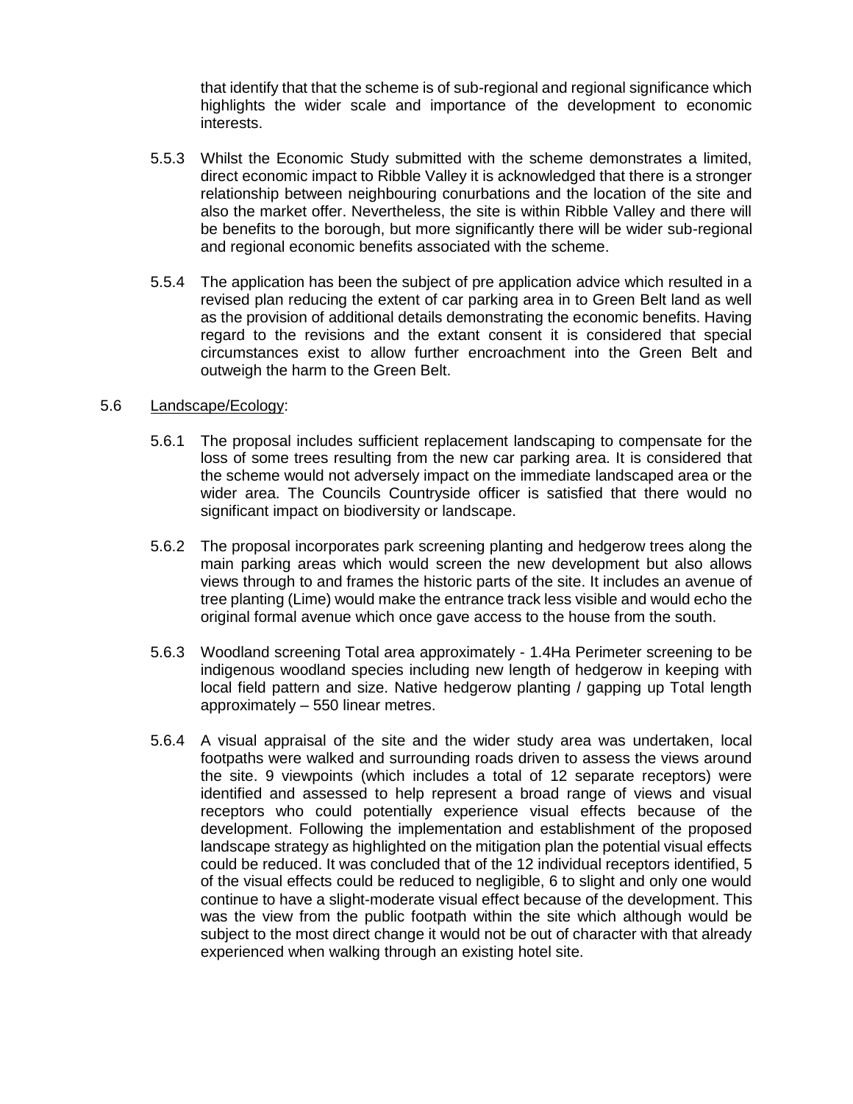that identify that that the scheme is of sub-regional and regional significance which highlights the wider scale and importance of the development to economic interests.

- 5.5.3 Whilst the Economic Study submitted with the scheme demonstrates a limited, direct economic impact to Ribble Valley it is acknowledged that there is a stronger relationship between neighbouring conurbations and the location of the site and also the market offer. Nevertheless, the site is within Ribble Valley and there will be benefits to the borough, but more significantly there will be wider sub-regional and regional economic benefits associated with the scheme.
- 5.5.4 The application has been the subject of pre application advice which resulted in a revised plan reducing the extent of car parking area in to Green Belt land as well as the provision of additional details demonstrating the economic benefits. Having regard to the revisions and the extant consent it is considered that special circumstances exist to allow further encroachment into the Green Belt and outweigh the harm to the Green Belt.

#### 5.6 Landscape/Ecology:

- 5.6.1 The proposal includes sufficient replacement landscaping to compensate for the loss of some trees resulting from the new car parking area. It is considered that the scheme would not adversely impact on the immediate landscaped area or the wider area. The Councils Countryside officer is satisfied that there would no significant impact on biodiversity or landscape.
- 5.6.2 The proposal incorporates park screening planting and hedgerow trees along the main parking areas which would screen the new development but also allows views through to and frames the historic parts of the site. It includes an avenue of tree planting (Lime) would make the entrance track less visible and would echo the original formal avenue which once gave access to the house from the south.
- 5.6.3 Woodland screening Total area approximately 1.4Ha Perimeter screening to be indigenous woodland species including new length of hedgerow in keeping with local field pattern and size. Native hedgerow planting / gapping up Total length approximately – 550 linear metres.
- 5.6.4 A visual appraisal of the site and the wider study area was undertaken, local footpaths were walked and surrounding roads driven to assess the views around the site. 9 viewpoints (which includes a total of 12 separate receptors) were identified and assessed to help represent a broad range of views and visual receptors who could potentially experience visual effects because of the development. Following the implementation and establishment of the proposed landscape strategy as highlighted on the mitigation plan the potential visual effects could be reduced. It was concluded that of the 12 individual receptors identified, 5 of the visual effects could be reduced to negligible, 6 to slight and only one would continue to have a slight-moderate visual effect because of the development. This was the view from the public footpath within the site which although would be subject to the most direct change it would not be out of character with that already experienced when walking through an existing hotel site.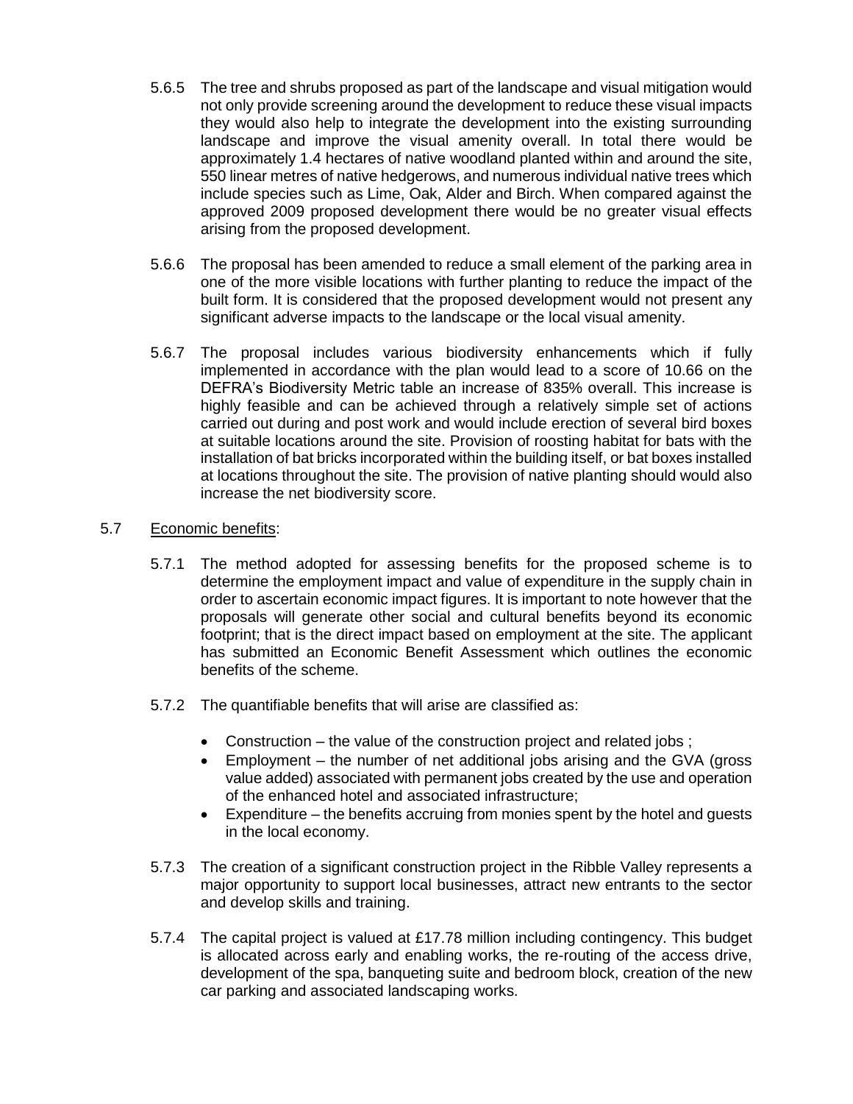- 5.6.5 The tree and shrubs proposed as part of the landscape and visual mitigation would not only provide screening around the development to reduce these visual impacts they would also help to integrate the development into the existing surrounding landscape and improve the visual amenity overall. In total there would be approximately 1.4 hectares of native woodland planted within and around the site, 550 linear metres of native hedgerows, and numerous individual native trees which include species such as Lime, Oak, Alder and Birch. When compared against the approved 2009 proposed development there would be no greater visual effects arising from the proposed development.
- 5.6.6 The proposal has been amended to reduce a small element of the parking area in one of the more visible locations with further planting to reduce the impact of the built form. It is considered that the proposed development would not present any significant adverse impacts to the landscape or the local visual amenity.
- 5.6.7 The proposal includes various biodiversity enhancements which if fully implemented in accordance with the plan would lead to a score of 10.66 on the DEFRA's Biodiversity Metric table an increase of 835% overall. This increase is highly feasible and can be achieved through a relatively simple set of actions carried out during and post work and would include erection of several bird boxes at suitable locations around the site. Provision of roosting habitat for bats with the installation of bat bricks incorporated within the building itself, or bat boxes installed at locations throughout the site. The provision of native planting should would also increase the net biodiversity score.

# 5.7 Economic benefits:

- 5.7.1 The method adopted for assessing benefits for the proposed scheme is to determine the employment impact and value of expenditure in the supply chain in order to ascertain economic impact figures. It is important to note however that the proposals will generate other social and cultural benefits beyond its economic footprint; that is the direct impact based on employment at the site. The applicant has submitted an Economic Benefit Assessment which outlines the economic benefits of the scheme.
- 5.7.2 The quantifiable benefits that will arise are classified as:
	- Construction the value of the construction project and related jobs;
	- Employment the number of net additional jobs arising and the GVA (gross value added) associated with permanent jobs created by the use and operation of the enhanced hotel and associated infrastructure;
	- Expenditure the benefits accruing from monies spent by the hotel and guests in the local economy.
- 5.7.3 The creation of a significant construction project in the Ribble Valley represents a major opportunity to support local businesses, attract new entrants to the sector and develop skills and training.
- 5.7.4 The capital project is valued at £17.78 million including contingency. This budget is allocated across early and enabling works, the re-routing of the access drive, development of the spa, banqueting suite and bedroom block, creation of the new car parking and associated landscaping works.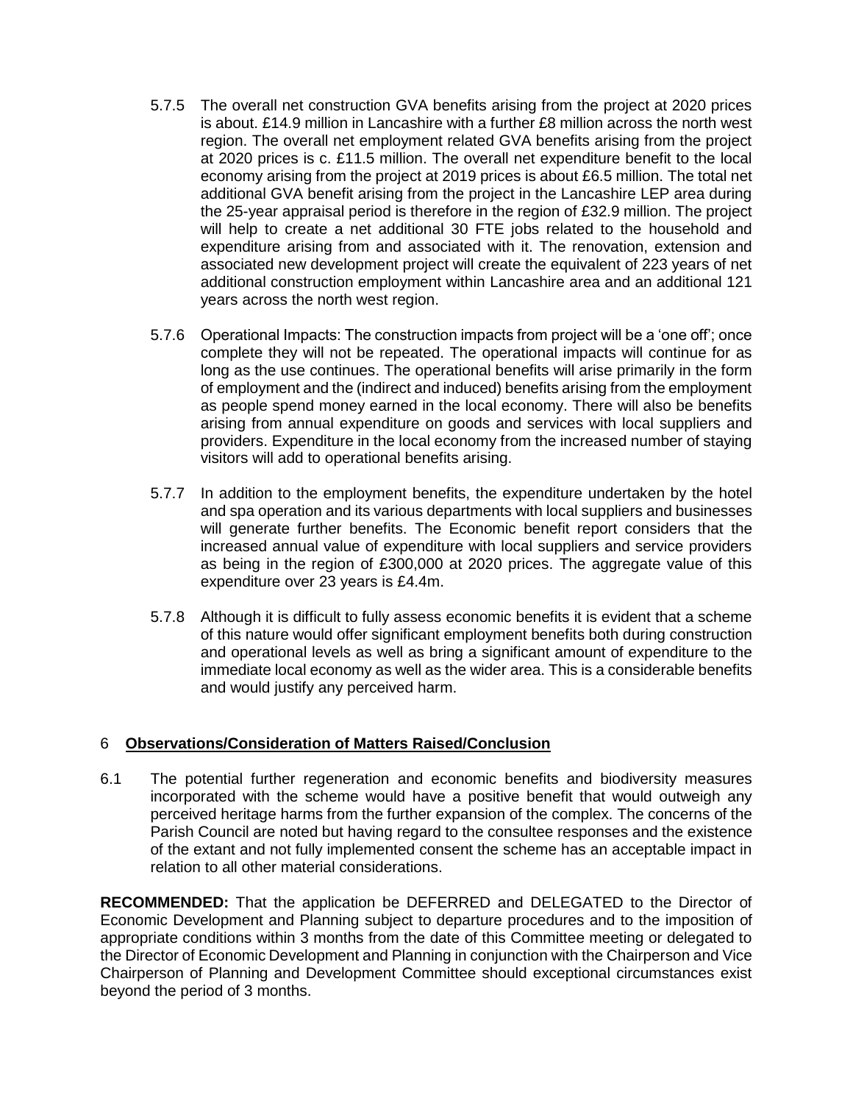- 5.7.5 The overall net construction GVA benefits arising from the project at 2020 prices is about. £14.9 million in Lancashire with a further £8 million across the north west region. The overall net employment related GVA benefits arising from the project at 2020 prices is c. £11.5 million. The overall net expenditure benefit to the local economy arising from the project at 2019 prices is about £6.5 million. The total net additional GVA benefit arising from the project in the Lancashire LEP area during the 25-year appraisal period is therefore in the region of £32.9 million. The project will help to create a net additional 30 FTE jobs related to the household and expenditure arising from and associated with it. The renovation, extension and associated new development project will create the equivalent of 223 years of net additional construction employment within Lancashire area and an additional 121 years across the north west region.
- 5.7.6 Operational Impacts: The construction impacts from project will be a 'one off'; once complete they will not be repeated. The operational impacts will continue for as long as the use continues. The operational benefits will arise primarily in the form of employment and the (indirect and induced) benefits arising from the employment as people spend money earned in the local economy. There will also be benefits arising from annual expenditure on goods and services with local suppliers and providers. Expenditure in the local economy from the increased number of staying visitors will add to operational benefits arising.
- 5.7.7 In addition to the employment benefits, the expenditure undertaken by the hotel and spa operation and its various departments with local suppliers and businesses will generate further benefits. The Economic benefit report considers that the increased annual value of expenditure with local suppliers and service providers as being in the region of £300,000 at 2020 prices. The aggregate value of this expenditure over 23 years is £4.4m.
- 5.7.8 Although it is difficult to fully assess economic benefits it is evident that a scheme of this nature would offer significant employment benefits both during construction and operational levels as well as bring a significant amount of expenditure to the immediate local economy as well as the wider area. This is a considerable benefits and would justify any perceived harm.

# 6 **Observations/Consideration of Matters Raised/Conclusion**

6.1 The potential further regeneration and economic benefits and biodiversity measures incorporated with the scheme would have a positive benefit that would outweigh any perceived heritage harms from the further expansion of the complex. The concerns of the Parish Council are noted but having regard to the consultee responses and the existence of the extant and not fully implemented consent the scheme has an acceptable impact in relation to all other material considerations.

**RECOMMENDED:** That the application be DEFERRED and DELEGATED to the Director of Economic Development and Planning subject to departure procedures and to the imposition of appropriate conditions within 3 months from the date of this Committee meeting or delegated to the Director of Economic Development and Planning in conjunction with the Chairperson and Vice Chairperson of Planning and Development Committee should exceptional circumstances exist beyond the period of 3 months.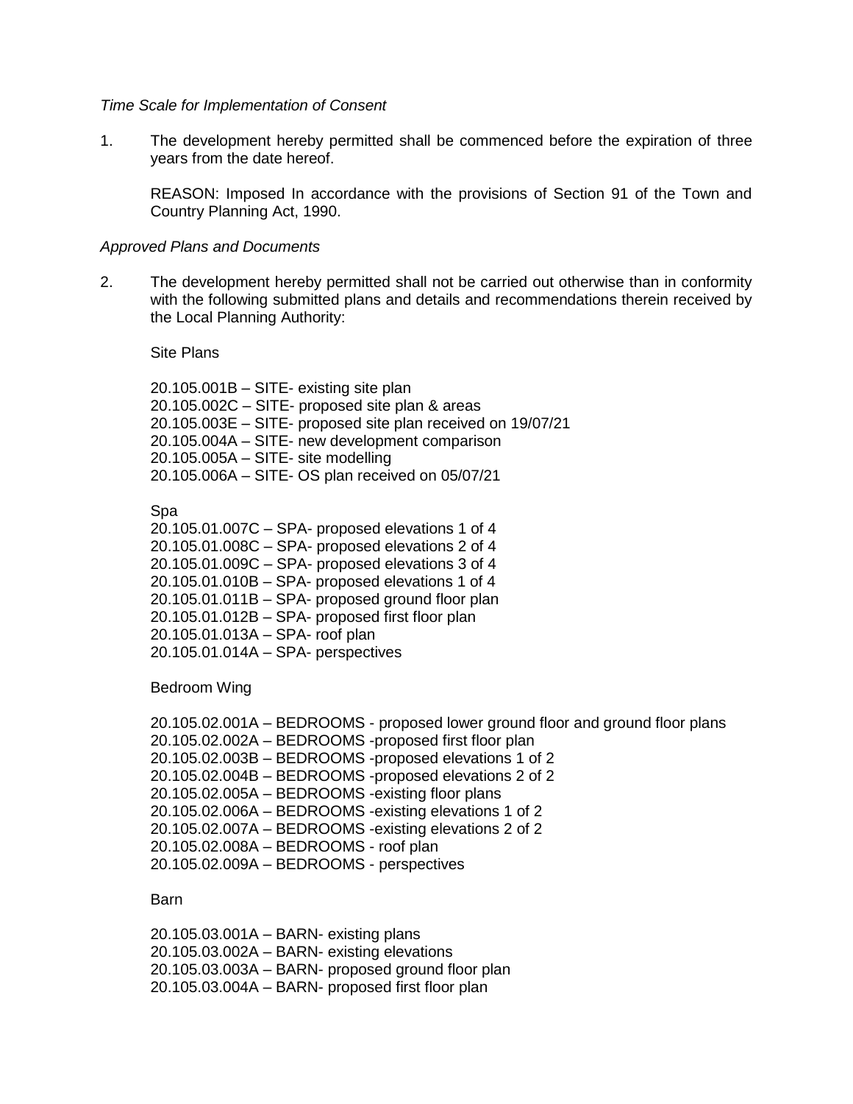#### *Time Scale for Implementation of Consent*

1. The development hereby permitted shall be commenced before the expiration of three years from the date hereof.

REASON: Imposed In accordance with the provisions of Section 91 of the Town and Country Planning Act, 1990.

#### *Approved Plans and Documents*

2. The development hereby permitted shall not be carried out otherwise than in conformity with the following submitted plans and details and recommendations therein received by the Local Planning Authority:

Site Plans

20.105.001B – SITE- existing site plan 20.105.002C – SITE- proposed site plan & areas 20.105.003E – SITE- proposed site plan received on 19/07/21 20.105.004A – SITE- new development comparison 20.105.005A – SITE- site modelling 20.105.006A – SITE- OS plan received on 05/07/21

Spa

20.105.01.007C – SPA- proposed elevations 1 of 4 20.105.01.008C – SPA- proposed elevations 2 of 4 20.105.01.009C – SPA- proposed elevations 3 of 4 20.105.01.010B – SPA- proposed elevations 1 of 4 20.105.01.011B – SPA- proposed ground floor plan 20.105.01.012B – SPA- proposed first floor plan 20.105.01.013A – SPA- roof plan 20.105.01.014A – SPA- perspectives

Bedroom Wing

```
20.105.02.001A – BEDROOMS - proposed lower ground floor and ground floor plans
20.105.02.002A – BEDROOMS -proposed first floor plan
20.105.02.003B – BEDROOMS -proposed elevations 1 of 2
20.105.02.004B – BEDROOMS -proposed elevations 2 of 2
20.105.02.005A – BEDROOMS -existing floor plans
20.105.02.006A – BEDROOMS -existing elevations 1 of 2
20.105.02.007A – BEDROOMS -existing elevations 2 of 2
20.105.02.008A – BEDROOMS - roof plan
20.105.02.009A – BEDROOMS - perspectives
```
### Barn

20.105.03.001A – BARN- existing plans 20.105.03.002A – BARN- existing elevations 20.105.03.003A – BARN- proposed ground floor plan 20.105.03.004A – BARN- proposed first floor plan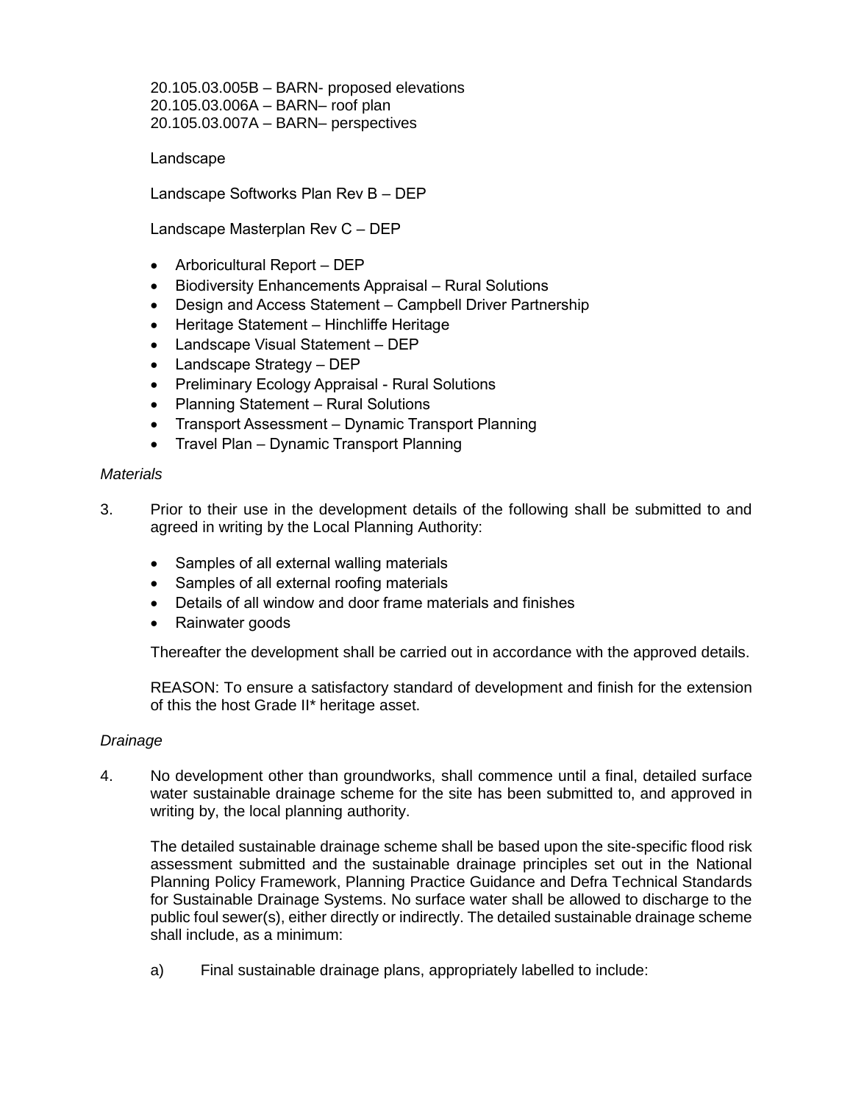20.105.03.005B – BARN- proposed elevations 20.105.03.006A – BARN– roof plan 20.105.03.007A – BARN– perspectives

Landscape

Landscape Softworks Plan Rev B – DEP

Landscape Masterplan Rev C – DEP

- Arboricultural Report DEP
- Biodiversity Enhancements Appraisal Rural Solutions
- Design and Access Statement Campbell Driver Partnership
- Heritage Statement Hinchliffe Heritage
- Landscape Visual Statement DEP
- Landscape Strategy DEP
- Preliminary Ecology Appraisal Rural Solutions
- Planning Statement Rural Solutions
- Transport Assessment Dynamic Transport Planning
- Travel Plan Dynamic Transport Planning

#### *Materials*

- 3. Prior to their use in the development details of the following shall be submitted to and agreed in writing by the Local Planning Authority:
	- Samples of all external walling materials
	- Samples of all external roofing materials
	- Details of all window and door frame materials and finishes
	- Rainwater goods

Thereafter the development shall be carried out in accordance with the approved details.

REASON: To ensure a satisfactory standard of development and finish for the extension of this the host Grade II\* heritage asset.

#### *Drainage*

4. No development other than groundworks, shall commence until a final, detailed surface water sustainable drainage scheme for the site has been submitted to, and approved in writing by, the local planning authority.

The detailed sustainable drainage scheme shall be based upon the site-specific flood risk assessment submitted and the sustainable drainage principles set out in the National Planning Policy Framework, Planning Practice Guidance and Defra Technical Standards for Sustainable Drainage Systems. No surface water shall be allowed to discharge to the public foul sewer(s), either directly or indirectly. The detailed sustainable drainage scheme shall include, as a minimum:

a) Final sustainable drainage plans, appropriately labelled to include: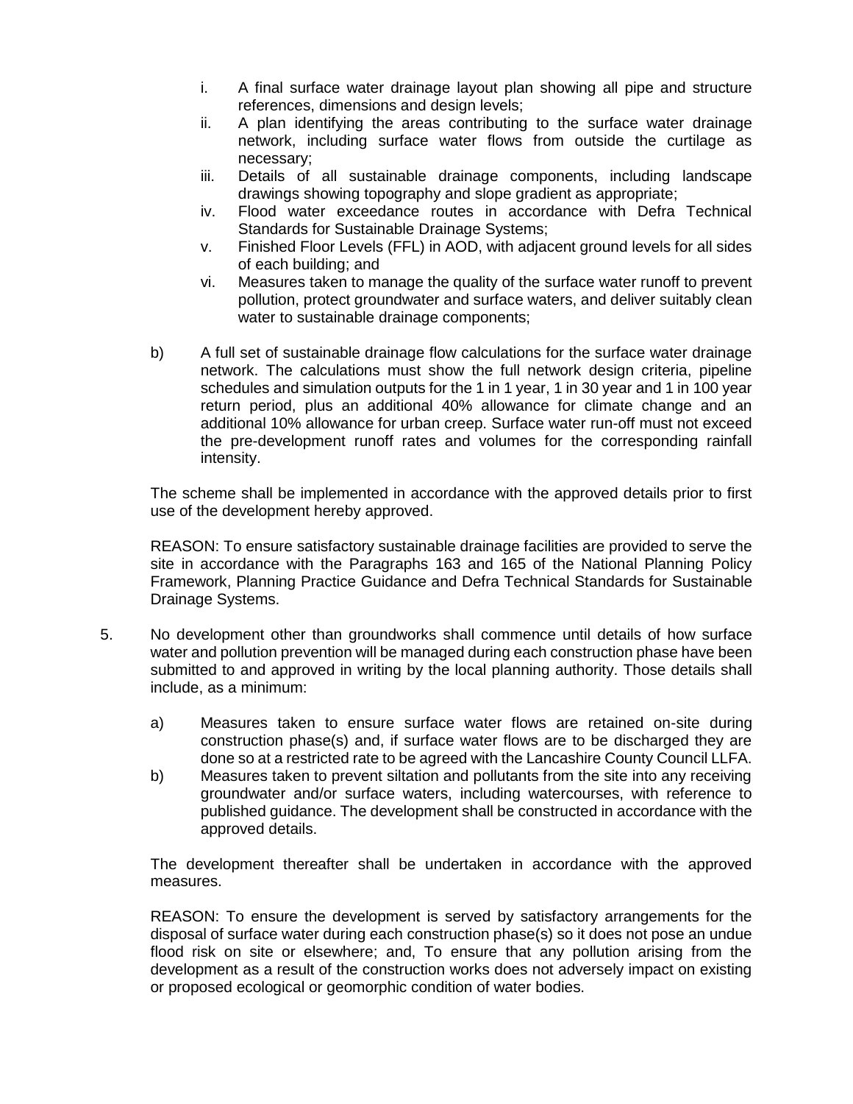- i. A final surface water drainage layout plan showing all pipe and structure references, dimensions and design levels;
- ii. A plan identifying the areas contributing to the surface water drainage network, including surface water flows from outside the curtilage as necessary;
- iii. Details of all sustainable drainage components, including landscape drawings showing topography and slope gradient as appropriate;
- iv. Flood water exceedance routes in accordance with Defra Technical Standards for Sustainable Drainage Systems;
- v. Finished Floor Levels (FFL) in AOD, with adjacent ground levels for all sides of each building; and
- vi. Measures taken to manage the quality of the surface water runoff to prevent pollution, protect groundwater and surface waters, and deliver suitably clean water to sustainable drainage components;
- b) A full set of sustainable drainage flow calculations for the surface water drainage network. The calculations must show the full network design criteria, pipeline schedules and simulation outputs for the 1 in 1 year, 1 in 30 year and 1 in 100 year return period, plus an additional 40% allowance for climate change and an additional 10% allowance for urban creep. Surface water run-off must not exceed the pre-development runoff rates and volumes for the corresponding rainfall intensity.

The scheme shall be implemented in accordance with the approved details prior to first use of the development hereby approved.

REASON: To ensure satisfactory sustainable drainage facilities are provided to serve the site in accordance with the Paragraphs 163 and 165 of the National Planning Policy Framework, Planning Practice Guidance and Defra Technical Standards for Sustainable Drainage Systems.

- 5. No development other than groundworks shall commence until details of how surface water and pollution prevention will be managed during each construction phase have been submitted to and approved in writing by the local planning authority. Those details shall include, as a minimum:
	- a) Measures taken to ensure surface water flows are retained on-site during construction phase(s) and, if surface water flows are to be discharged they are done so at a restricted rate to be agreed with the Lancashire County Council LLFA.
	- b) Measures taken to prevent siltation and pollutants from the site into any receiving groundwater and/or surface waters, including watercourses, with reference to published guidance. The development shall be constructed in accordance with the approved details.

The development thereafter shall be undertaken in accordance with the approved measures.

REASON: To ensure the development is served by satisfactory arrangements for the disposal of surface water during each construction phase(s) so it does not pose an undue flood risk on site or elsewhere; and, To ensure that any pollution arising from the development as a result of the construction works does not adversely impact on existing or proposed ecological or geomorphic condition of water bodies.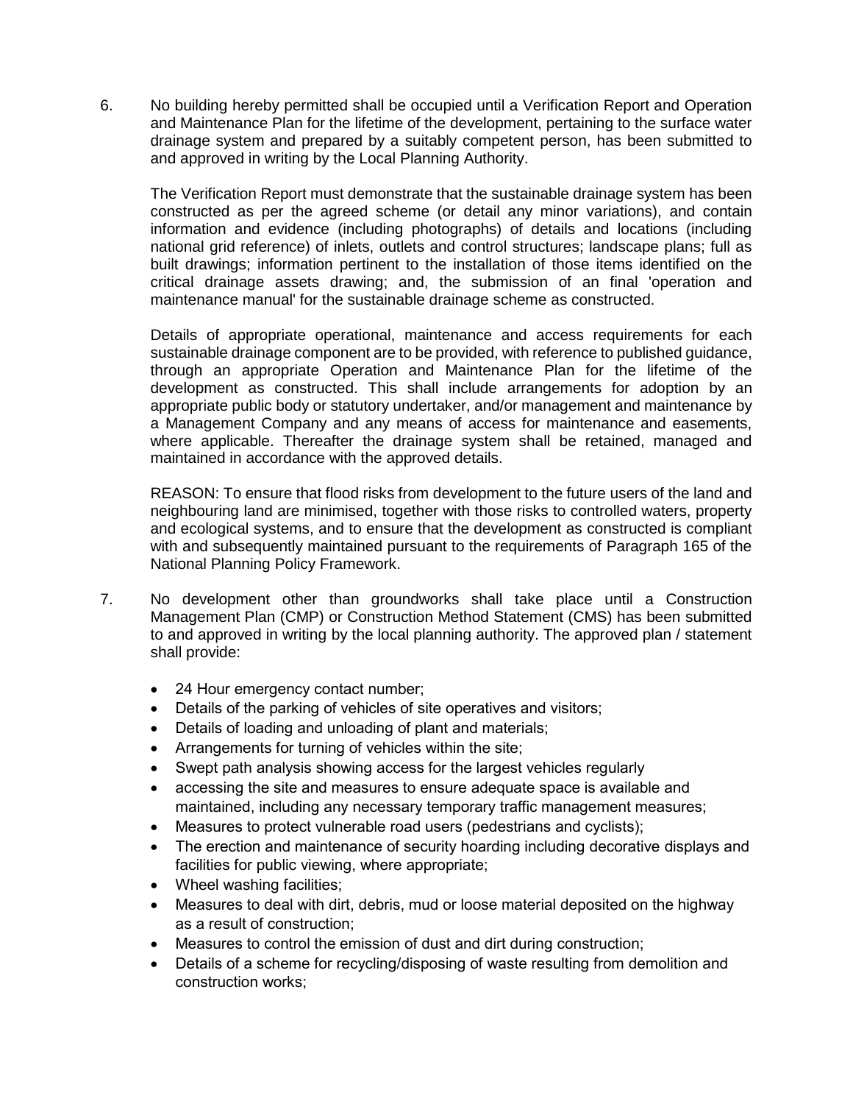6. No building hereby permitted shall be occupied until a Verification Report and Operation and Maintenance Plan for the lifetime of the development, pertaining to the surface water drainage system and prepared by a suitably competent person, has been submitted to and approved in writing by the Local Planning Authority.

The Verification Report must demonstrate that the sustainable drainage system has been constructed as per the agreed scheme (or detail any minor variations), and contain information and evidence (including photographs) of details and locations (including national grid reference) of inlets, outlets and control structures; landscape plans; full as built drawings; information pertinent to the installation of those items identified on the critical drainage assets drawing; and, the submission of an final 'operation and maintenance manual' for the sustainable drainage scheme as constructed.

Details of appropriate operational, maintenance and access requirements for each sustainable drainage component are to be provided, with reference to published guidance, through an appropriate Operation and Maintenance Plan for the lifetime of the development as constructed. This shall include arrangements for adoption by an appropriate public body or statutory undertaker, and/or management and maintenance by a Management Company and any means of access for maintenance and easements, where applicable. Thereafter the drainage system shall be retained, managed and maintained in accordance with the approved details.

REASON: To ensure that flood risks from development to the future users of the land and neighbouring land are minimised, together with those risks to controlled waters, property and ecological systems, and to ensure that the development as constructed is compliant with and subsequently maintained pursuant to the requirements of Paragraph 165 of the National Planning Policy Framework.

- 7. No development other than groundworks shall take place until a Construction Management Plan (CMP) or Construction Method Statement (CMS) has been submitted to and approved in writing by the local planning authority. The approved plan / statement shall provide:
	- 24 Hour emergency contact number;
	- Details of the parking of vehicles of site operatives and visitors;
	- Details of loading and unloading of plant and materials;
	- Arrangements for turning of vehicles within the site;
	- Swept path analysis showing access for the largest vehicles regularly
	- accessing the site and measures to ensure adequate space is available and maintained, including any necessary temporary traffic management measures;
	- Measures to protect vulnerable road users (pedestrians and cyclists);
	- The erection and maintenance of security hoarding including decorative displays and facilities for public viewing, where appropriate;
	- Wheel washing facilities;
	- Measures to deal with dirt, debris, mud or loose material deposited on the highway as a result of construction;
	- Measures to control the emission of dust and dirt during construction;
	- Details of a scheme for recycling/disposing of waste resulting from demolition and construction works;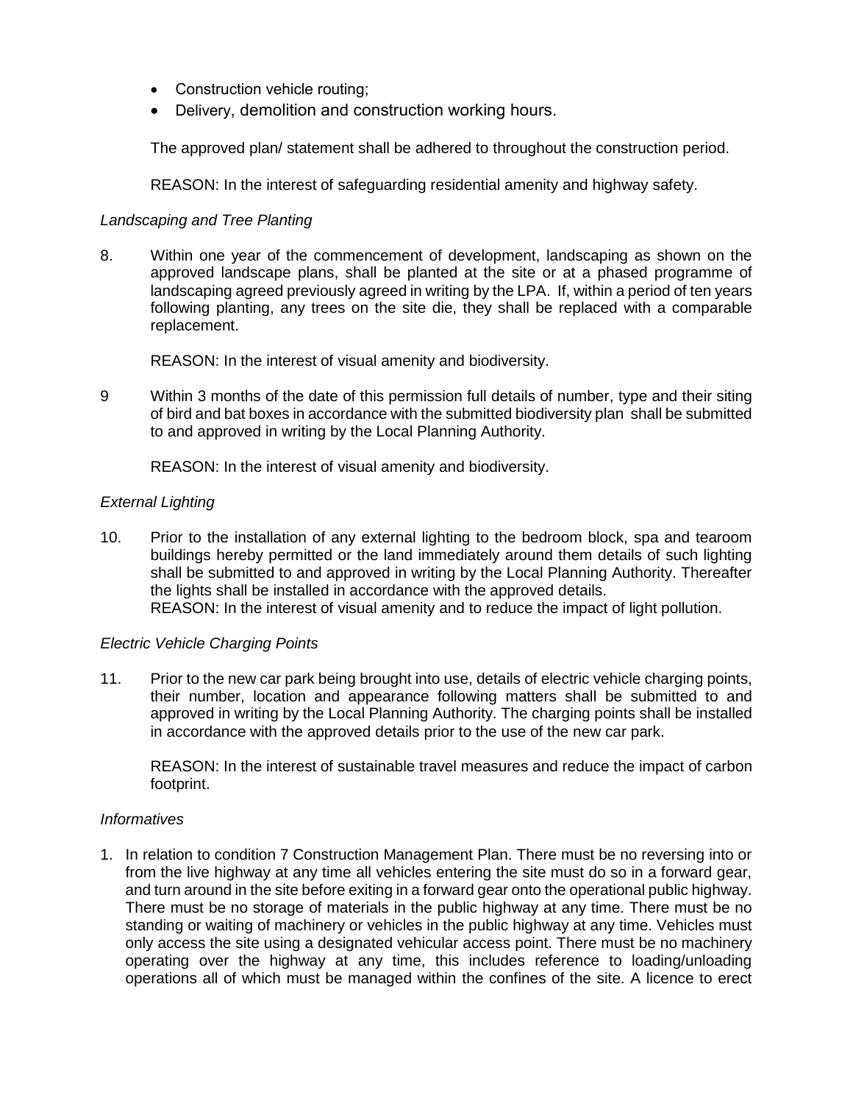- Construction vehicle routing;
- Delivery, demolition and construction working hours.

The approved plan/ statement shall be adhered to throughout the construction period.

REASON: In the interest of safeguarding residential amenity and highway safety.

## *Landscaping and Tree Planting*

8. Within one year of the commencement of development, landscaping as shown on the approved landscape plans, shall be planted at the site or at a phased programme of landscaping agreed previously agreed in writing by the LPA. If, within a period of ten years following planting, any trees on the site die, they shall be replaced with a comparable replacement.

REASON: In the interest of visual amenity and biodiversity.

9 Within 3 months of the date of this permission full details of number, type and their siting of bird and bat boxes in accordance with the submitted biodiversity plan shall be submitted to and approved in writing by the Local Planning Authority.

REASON: In the interest of visual amenity and biodiversity.

## *External Lighting*

10. Prior to the installation of any external lighting to the bedroom block, spa and tearoom buildings hereby permitted or the land immediately around them details of such lighting shall be submitted to and approved in writing by the Local Planning Authority. Thereafter the lights shall be installed in accordance with the approved details. REASON: In the interest of visual amenity and to reduce the impact of light pollution.

#### *Electric Vehicle Charging Points*

11. Prior to the new car park being brought into use, details of electric vehicle charging points, their number, location and appearance following matters shall be submitted to and approved in writing by the Local Planning Authority. The charging points shall be installed in accordance with the approved details prior to the use of the new car park.

REASON: In the interest of sustainable travel measures and reduce the impact of carbon footprint.

#### *Informatives*

1. In relation to condition 7 Construction Management Plan. There must be no reversing into or from the live highway at any time all vehicles entering the site must do so in a forward gear, and turn around in the site before exiting in a forward gear onto the operational public highway. There must be no storage of materials in the public highway at any time. There must be no standing or waiting of machinery or vehicles in the public highway at any time. Vehicles must only access the site using a designated vehicular access point. There must be no machinery operating over the highway at any time, this includes reference to loading/unloading operations all of which must be managed within the confines of the site. A licence to erect